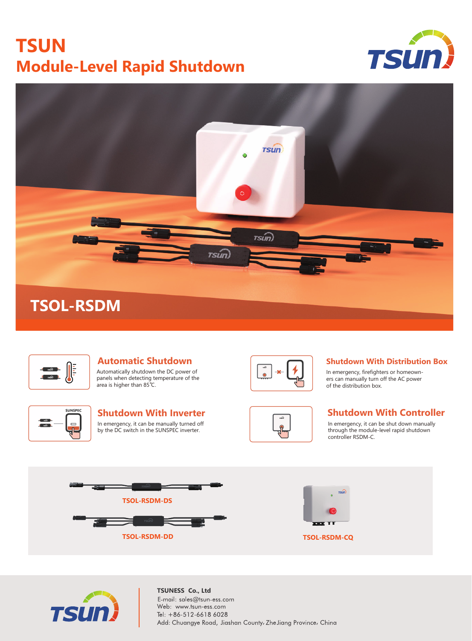# **TSUN Module-Level Rapid Shutdown**







#### **Automatic Shutdown** Automatically shutdown the DC power of panels when detecting temperature of the area is higher than 85℃.



### In emergency, it can be manually turned off by the DC switch in the SUNSPEC inverter.





#### **Shutdown With Distribution Box**

In emergency, firefighters or homeowners can manually turn off the AC power of the distribution box.

### **Shutdown With Inverter Shutdown With Controller**

In emergency, it can be shut down manually through the module-level rapid shutdown controller RSDM-C.





**TSUNESS Co., Ltd** E-mail: sales@tsun-ess.com Web: www.tsun-ess.com Tel: +86-512-6618 6028 Add: Chuangye Road, Jiashan County, ZheJiang Province, China